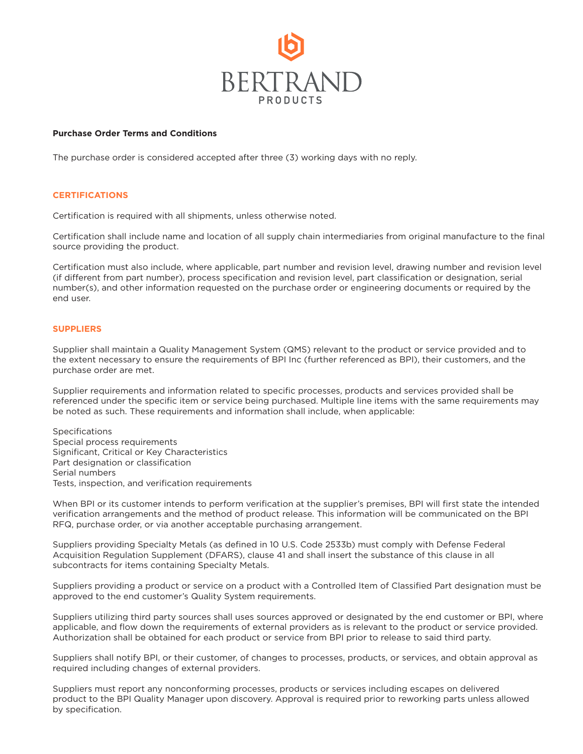

## **Purchase Order Terms and Conditions**

The purchase order is considered accepted after three (3) working days with no reply.

## **CERTIFICATIONS**

Certification is required with all shipments, unless otherwise noted.

Certification shall include name and location of all supply chain intermediaries from original manufacture to the final source providing the product.

Certification must also include, where applicable, part number and revision level, drawing number and revision level (if different from part number), process specification and revision level, part classification or designation, serial number(s), and other information requested on the purchase order or engineering documents or required by the end user.

## **SUPPLIERS**

Supplier shall maintain a Quality Management System (QMS) relevant to the product or service provided and to the extent necessary to ensure the requirements of BPI Inc (further referenced as BPI), their customers, and the purchase order are met.

Supplier requirements and information related to specific processes, products and services provided shall be referenced under the specific item or service being purchased. Multiple line items with the same requirements may be noted as such. These requirements and information shall include, when applicable:

**Specifications** Special process requirements Significant, Critical or Key Characteristics Part designation or classification Serial numbers Tests, inspection, and verification requirements

When BPI or its customer intends to perform verification at the supplier's premises, BPI will first state the intended verification arrangements and the method of product release. This information will be communicated on the BPI RFQ, purchase order, or via another acceptable purchasing arrangement.

Suppliers providing Specialty Metals (as defined in 10 U.S. Code 2533b) must comply with Defense Federal Acquisition Regulation Supplement (DFARS), clause 41 and shall insert the substance of this clause in all subcontracts for items containing Specialty Metals.

Suppliers providing a product or service on a product with a Controlled Item of Classified Part designation must be approved to the end customer's Quality System requirements.

Suppliers utilizing third party sources shall uses sources approved or designated by the end customer or BPI, where applicable, and flow down the requirements of external providers as is relevant to the product or service provided. Authorization shall be obtained for each product or service from BPI prior to release to said third party.

Suppliers shall notify BPI, or their customer, of changes to processes, products, or services, and obtain approval as required including changes of external providers.

Suppliers must report any nonconforming processes, products or services including escapes on delivered product to the BPI Quality Manager upon discovery. Approval is required prior to reworking parts unless allowed by specification.